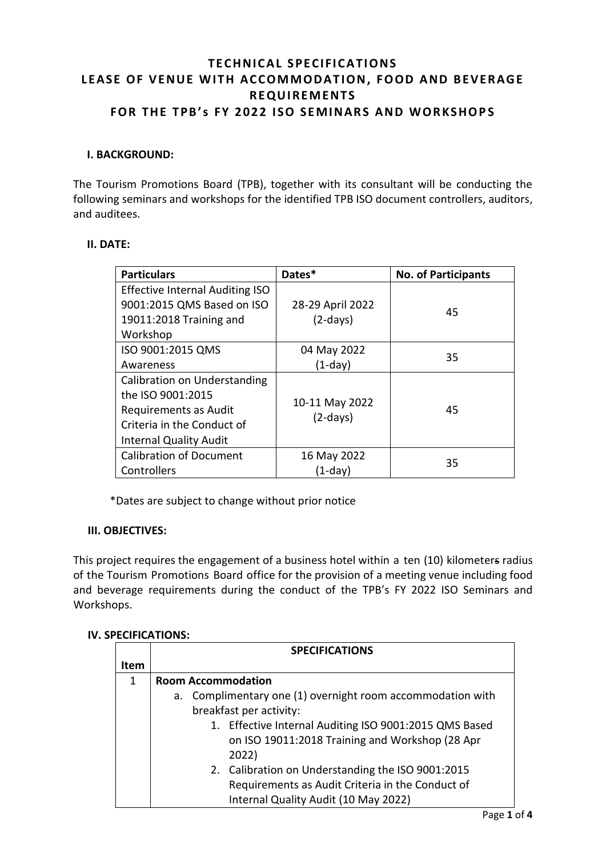# **TECHNICAL SPECIFICATIONS** LEASE OF VENUE WITH ACCOMMODATION, FOOD AND BEVERAGE **R E QU I RE M E NT S FOR THE TPB's FY 2022 ISO SEMINARS AND WORKSHOPS**

### **I. BACKGROUND:**

The Tourism Promotions Board (TPB), together with its consultant will be conducting the following seminars and workshops for the identified TPB ISO document controllers, auditors, and auditees.

### **II. DATE:**

| <b>Particulars</b>                     | Dates*           | <b>No. of Participants</b> |
|----------------------------------------|------------------|----------------------------|
| <b>Effective Internal Auditing ISO</b> |                  |                            |
| 9001:2015 QMS Based on ISO             | 28-29 April 2022 | 45                         |
| 19011:2018 Training and                | $(2-days)$       |                            |
| Workshop                               |                  |                            |
| ISO 9001:2015 QMS                      | 04 May 2022      | 35                         |
| Awareness                              | $(1-day)$        |                            |
| Calibration on Understanding           |                  |                            |
| the ISO 9001:2015                      | 10-11 May 2022   |                            |
| Requirements as Audit                  |                  | 45                         |
| Criteria in the Conduct of             | $(2-days)$       |                            |
| <b>Internal Quality Audit</b>          |                  |                            |
| <b>Calibration of Document</b>         | 16 May 2022      | 35                         |
| Controllers                            | (1-day)          |                            |

\*Dates are subject to change without prior notice

### **III. OBJECTIVES:**

This project requires the engagement of a business hotel within a ten (10) kilometers radius of the Tourism Promotions Board office for the provision of a meeting venue including food and beverage requirements during the conduct of the TPB's FY 2022 ISO Seminars and Workshops.

### **IV. SPECIFICATIONS:**

|             | <b>SPECIFICATIONS</b>                                                                                                                         |  |  |
|-------------|-----------------------------------------------------------------------------------------------------------------------------------------------|--|--|
| <b>Item</b> |                                                                                                                                               |  |  |
| 1           | <b>Room Accommodation</b>                                                                                                                     |  |  |
|             | Complimentary one (1) overnight room accommodation with<br>a.<br>breakfast per activity:                                                      |  |  |
|             | 1. Effective Internal Auditing ISO 9001:2015 QMS Based<br>on ISO 19011:2018 Training and Workshop (28 Apr<br>2022)                            |  |  |
|             | 2. Calibration on Understanding the ISO 9001:2015<br>Requirements as Audit Criteria in the Conduct of<br>Internal Quality Audit (10 May 2022) |  |  |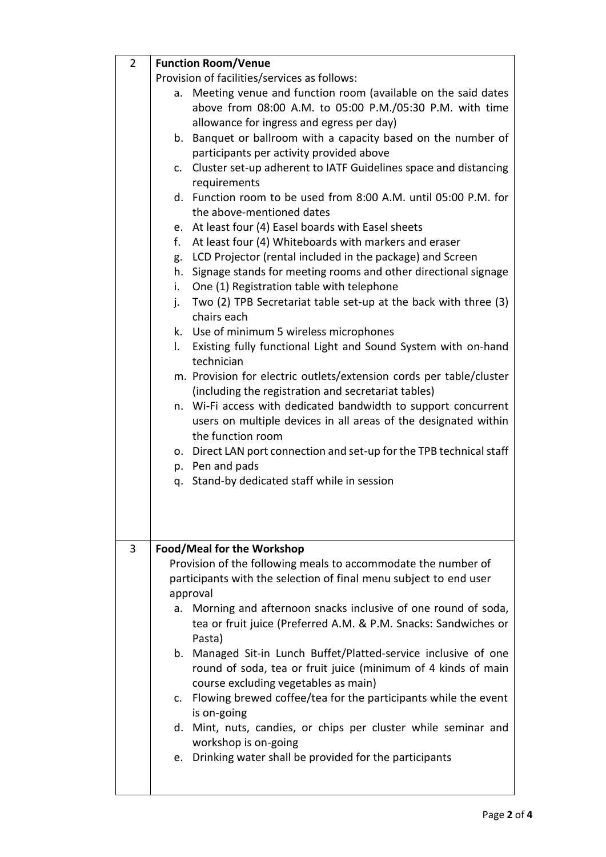| $\overline{2}$ | <b>Function Room/Venue</b>                                            |  |
|----------------|-----------------------------------------------------------------------|--|
|                | Provision of facilities/services as follows:                          |  |
|                | Meeting venue and function room (available on the said dates<br>а.    |  |
|                | above from 08:00 A.M. to 05:00 P.M./05:30 P.M. with time              |  |
|                | allowance for ingress and egress per day)                             |  |
|                | b. Banquet or ballroom with a capacity based on the number of         |  |
|                | participants per activity provided above                              |  |
|                | c. Cluster set-up adherent to IATF Guidelines space and distancing    |  |
|                | requirements                                                          |  |
|                | d. Function room to be used from 8:00 A.M. until 05:00 P.M. for       |  |
|                | the above-mentioned dates                                             |  |
|                | e. At least four (4) Easel boards with Easel sheets                   |  |
|                | f.<br>At least four (4) Whiteboards with markers and eraser           |  |
|                |                                                                       |  |
|                | LCD Projector (rental included in the package) and Screen<br>g.       |  |
|                | Signage stands for meeting rooms and other directional signage<br>h.  |  |
|                | One (1) Registration table with telephone<br>i. I                     |  |
|                | Two (2) TPB Secretariat table set-up at the back with three (3)<br>j. |  |
|                | chairs each                                                           |  |
|                | k. Use of minimum 5 wireless microphones                              |  |
|                | I.<br>Existing fully functional Light and Sound System with on-hand   |  |
|                | technician                                                            |  |
|                | m. Provision for electric outlets/extension cords per table/cluster   |  |
|                | (including the registration and secretariat tables)                   |  |
|                | n. Wi-Fi access with dedicated bandwidth to support concurrent        |  |
|                | users on multiple devices in all areas of the designated within       |  |
|                | the function room                                                     |  |
|                | o. Direct LAN port connection and set-up for the TPB technical staff  |  |
|                | p. Pen and pads                                                       |  |
|                | q. Stand-by dedicated staff while in session                          |  |
|                |                                                                       |  |
|                |                                                                       |  |
|                |                                                                       |  |
|                |                                                                       |  |
| 3              | Food/Meal for the Workshop                                            |  |
|                | Provision of the following meals to accommodate the number of         |  |
|                | participants with the selection of final menu subject to end user     |  |
|                | approval                                                              |  |
|                | a. Morning and afternoon snacks inclusive of one round of soda,       |  |
|                | tea or fruit juice (Preferred A.M. & P.M. Snacks: Sandwiches or       |  |
|                | Pasta)                                                                |  |
|                | b. Managed Sit-in Lunch Buffet/Platted-service inclusive of one       |  |
|                | round of soda, tea or fruit juice (minimum of 4 kinds of main         |  |
|                | course excluding vegetables as main)                                  |  |
|                | c. Flowing brewed coffee/tea for the participants while the event     |  |
|                | is on-going                                                           |  |
|                | d. Mint, nuts, candies, or chips per cluster while seminar and        |  |
|                | workshop is on-going                                                  |  |
|                | e. Drinking water shall be provided for the participants              |  |
|                |                                                                       |  |
|                |                                                                       |  |
|                |                                                                       |  |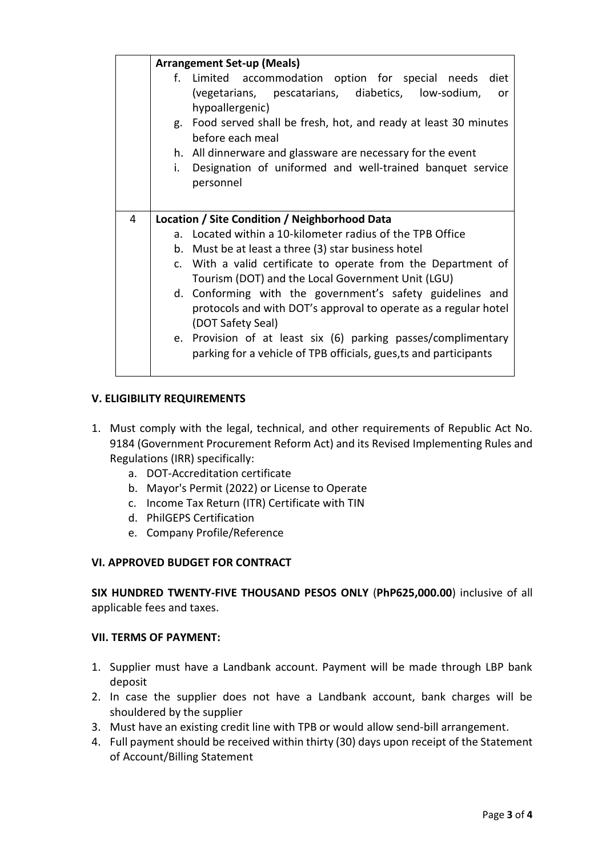|   | <b>Arrangement Set-up (Meals)</b>                                                                                                                 |  |  |
|---|---------------------------------------------------------------------------------------------------------------------------------------------------|--|--|
|   | f. Limited accommodation option for special needs diet<br>(vegetarians, pescatarians, diabetics, low-sodium,<br>or<br>hypoallergenic)             |  |  |
|   | g. Food served shall be fresh, hot, and ready at least 30 minutes<br>before each meal                                                             |  |  |
|   | h. All dinnerware and glassware are necessary for the event                                                                                       |  |  |
|   | Designation of uniformed and well-trained banquet service<br>i.<br>personnel                                                                      |  |  |
|   |                                                                                                                                                   |  |  |
| 4 | Location / Site Condition / Neighborhood Data                                                                                                     |  |  |
|   | a. Located within a 10-kilometer radius of the TPB Office                                                                                         |  |  |
|   | b. Must be at least a three (3) star business hotel                                                                                               |  |  |
|   | c. With a valid certificate to operate from the Department of<br>Tourism (DOT) and the Local Government Unit (LGU)                                |  |  |
|   | d. Conforming with the government's safety guidelines and<br>protocols and with DOT's approval to operate as a regular hotel<br>(DOT Safety Seal) |  |  |
|   | e. Provision of at least six (6) parking passes/complimentary<br>parking for a vehicle of TPB officials, gues, ts and participants                |  |  |

### **V. ELIGIBILITY REQUIREMENTS**

- 1. Must comply with the legal, technical, and other requirements of Republic Act No. 9184 (Government Procurement Reform Act) and its Revised Implementing Rules and Regulations (IRR) specifically:
	- a. DOT-Accreditation certificate
	- b. Mayor's Permit (2022) or License to Operate
	- c. Income Tax Return (ITR) Certificate with TIN
	- d. PhilGEPS Certification
	- e. Company Profile/Reference

### **VI. APPROVED BUDGET FOR CONTRACT**

**SIX HUNDRED TWENTY-FIVE THOUSAND PESOS ONLY** (**PhP625,000.00**) inclusive of all applicable fees and taxes.

### **VII. TERMS OF PAYMENT:**

- 1. Supplier must have a Landbank account. Payment will be made through LBP bank deposit
- 2. In case the supplier does not have a Landbank account, bank charges will be shouldered by the supplier
- 3. Must have an existing credit line with TPB or would allow send-bill arrangement.
- 4. Full payment should be received within thirty (30) days upon receipt of the Statement of Account/Billing Statement